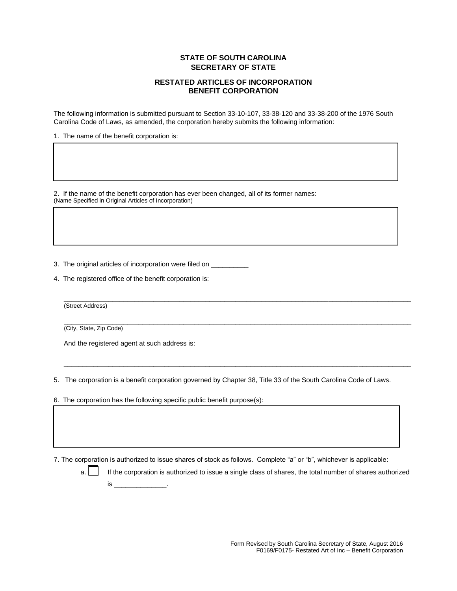## **STATE OF SOUTH CAROLINA SECRETARY OF STATE**

## **RESTATED ARTICLES OF INCORPORATION BENEFIT CORPORATION**

The following information is submitted pursuant to Section 33-10-107, 33-38-120 and 33-38-200 of the 1976 South Carolina Code of Laws, as amended, the corporation hereby submits the following information:

1. The name of the benefit corporation is:

2. If the name of the benefit corporation has ever been changed, all of its former names: (Name Specified in Original Articles of Incorporation)

3. The original articles of incorporation were filed on

4. The registered office of the benefit corporation is:

(Street Address)

 $\_$  ,  $\_$  ,  $\_$  ,  $\_$  ,  $\_$  ,  $\_$  ,  $\_$  ,  $\_$  ,  $\_$  ,  $\_$  ,  $\_$  ,  $\_$  ,  $\_$  ,  $\_$  ,  $\_$  ,  $\_$  ,  $\_$  ,  $\_$  ,  $\_$  ,  $\_$  ,  $\_$  ,  $\_$  ,  $\_$  ,  $\_$  ,  $\_$  ,  $\_$  ,  $\_$  ,  $\_$  ,  $\_$  ,  $\_$  ,  $\_$  ,  $\_$  ,  $\_$  ,  $\_$  ,  $\_$  ,  $\_$  ,  $\_$  , (City, State, Zip Code)

And the registered agent at such address is:

is \_\_\_\_\_\_\_\_\_\_\_\_\_\_.

5. The corporation is a benefit corporation governed by Chapter 38, Title 33 of the South Carolina Code of Laws.

 $\overline{a}$  , and the state of the state of the state of the state of the state of the state of the state of the state of the state of the state of the state of the state of the state of the state of the state of the state o

 $\overline{a}$  , and the state of the state of the state of the state of the state of the state of the state of the state of the state of the state of the state of the state of the state of the state of the state of the state o

6. The corporation has the following specific public benefit purpose(s):

7. The corporation is authorized to issue shares of stock as follows. Complete "a" or "b", whichever is applicable:



a. If the corporation is authorized to issue a single class of shares, the total number of shares authorized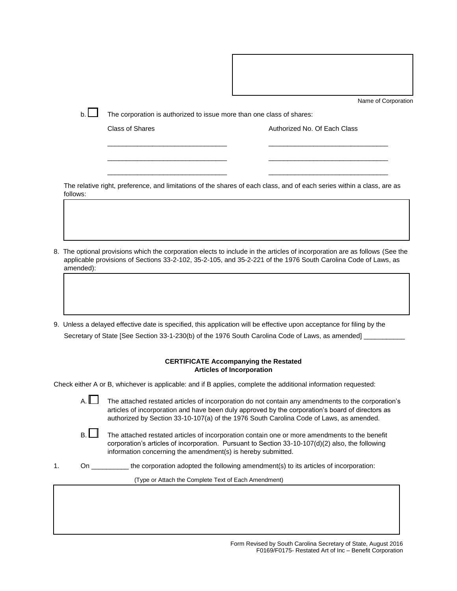Name of Corporation

b. **I** The corporation is authorized to issue more than one class of shares:

Class of Shares **Authorized No. Of Each Class** 

The relative right, preference, and limitations of the shares of each class, and of each series within a class, are as follows:

\_\_\_\_\_\_\_\_\_\_\_\_\_\_\_\_\_\_\_\_\_\_\_\_\_\_\_\_\_\_\_\_ \_\_\_\_\_\_\_\_\_\_\_\_\_\_\_\_\_\_\_\_\_\_\_\_\_\_\_\_\_\_\_\_ \_\_\_\_\_\_\_\_\_\_\_\_\_\_\_\_\_\_\_\_\_\_\_\_\_\_\_\_\_\_\_\_ \_\_\_\_\_\_\_\_\_\_\_\_\_\_\_\_\_\_\_\_\_\_\_\_\_\_\_\_\_\_\_\_ \_\_\_\_\_\_\_\_\_\_\_\_\_\_\_\_\_\_\_\_\_\_\_\_\_\_\_\_\_\_\_\_ \_\_\_\_\_\_\_\_\_\_\_\_\_\_\_\_\_\_\_\_\_\_\_\_\_\_\_\_\_\_\_\_

8. The optional provisions which the corporation elects to include in the articles of incorporation are as follows (See the applicable provisions of Sections 33-2-102, 35-2-105, and 35-2-221 of the 1976 South Carolina Code of Laws, as amended):

9. Unless a delayed effective date is specified, this application will be effective upon acceptance for filing by the Secretary of State [See Section 33-1-230(b) of the 1976 South Carolina Code of Laws, as amended] \_\_\_

## **CERTIFICATE Accompanying the Restated Articles of Incorporation**

Check either A or B, whichever is applicable: and if B applies, complete the additional information requested:

A.  $\Box$  The attached restated articles of incorporation do not contain any amendments to the corporation's articles of incorporation and have been duly approved by the corporation's board of directors as authorized by Section 33-10-107(a) of the 1976 South Carolina Code of Laws, as amended.

B. The attached restated articles of incorporation contain one or more amendments to the benefit corporation's articles of incorporation. Pursuant to Section 33-10-107(d)(2) also, the following information concerning the amendment(s) is hereby submitted.

1. On \_\_\_\_\_\_\_\_\_\_ the corporation adopted the following amendment(s) to its articles of incorporation:

(Type or Attach the Complete Text of Each Amendment)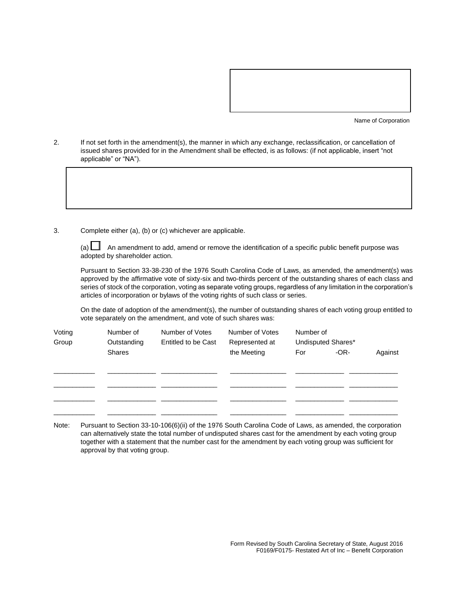Name of Corporation

2. If not set forth in the amendment(s), the manner in which any exchange, reclassification, or cancellation of issued shares provided for in the Amendment shall be effected, is as follows: (if not applicable, insert "not applicable" or "NA").

3. Complete either (a), (b) or (c) whichever are applicable.

(a)  $\Box$  An amendment to add, amend or remove the identification of a specific public benefit purpose was adopted by shareholder action.

Pursuant to Section 33-38-230 of the 1976 South Carolina Code of Laws, as amended, the amendment(s) was approved by the affirmative vote of sixty-six and two-thirds percent of the outstanding shares of each class and series of stock of the corporation, voting as separate voting groups, regardless of any limitation in the corporation's articles of incorporation or bylaws of the voting rights of such class or series.

On the date of adoption of the amendment(s), the number of outstanding shares of each voting group entitled to vote separately on the amendment, and vote of such shares was:

| Voting<br>Group | Number of<br>Outstanding | Number of Votes<br>Entitled to be Cast | Number of Votes<br>Represented at | Number of<br>Undisputed Shares* |        |         |
|-----------------|--------------------------|----------------------------------------|-----------------------------------|---------------------------------|--------|---------|
|                 | <b>Shares</b>            |                                        | the Meeting                       | For                             | $-OR-$ | Against |
|                 |                          |                                        |                                   |                                 |        |         |
|                 |                          |                                        |                                   |                                 |        |         |
|                 |                          |                                        |                                   |                                 |        |         |
|                 |                          |                                        |                                   |                                 |        |         |

Note: Pursuant to Section 33-10-106(6)(ii) of the 1976 South Carolina Code of Laws, as amended, the corporation can alternatively state the total number of undisputed shares cast for the amendment by each voting group together with a statement that the number cast for the amendment by each voting group was sufficient for approval by that voting group.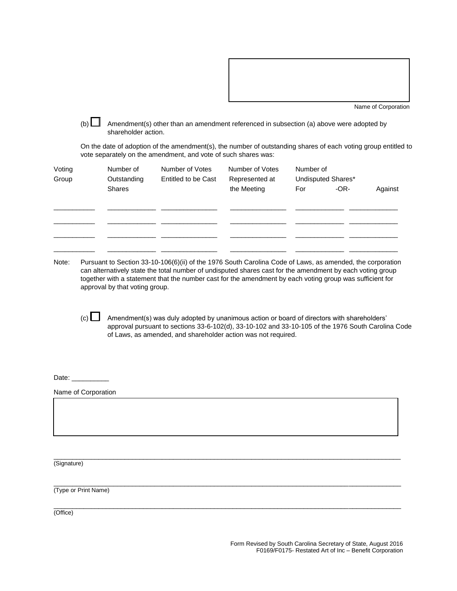

Name of Corporation

(b)  $\Box$  Amendment(s) other than an amendment referenced in subsection (a) above were adopted by shareholder action.

On the date of adoption of the amendment(s), the number of outstanding shares of each voting group entitled to vote separately on the amendment, and vote of such shares was:

| Voting<br>Group | Number of<br>Outstanding | Number of Votes<br>Entitled to be Cast | Number of Votes<br>Represented at | Number of<br>Undisputed Shares* |        |         |
|-----------------|--------------------------|----------------------------------------|-----------------------------------|---------------------------------|--------|---------|
|                 | <b>Shares</b>            |                                        | the Meeting                       | For                             | $-OR-$ | Against |
|                 |                          |                                        |                                   |                                 |        |         |
|                 |                          |                                        |                                   |                                 |        |         |
|                 |                          |                                        |                                   |                                 |        |         |
|                 |                          |                                        |                                   |                                 |        |         |
|                 |                          |                                        |                                   |                                 |        |         |

Note: Pursuant to Section 33-10-106(6)(ii) of the 1976 South Carolina Code of Laws, as amended, the corporation can alternatively state the total number of undisputed shares cast for the amendment by each voting group together with a statement that the number cast for the amendment by each voting group was sufficient for approval by that voting group.

 $\overline{a}$  , and the state of the state of the state of the state of the state of the state of the state of the state of the state of the state of the state of the state of the state of the state of the state of the state o

 $\overline{a}$  , and the state of the state of the state of the state of the state of the state of the state of the state of the state of the state of the state of the state of the state of the state of the state of the state o

(c)  $\Box$  Amendment(s) was duly adopted by unanimous action or board of directors with shareholders' approval pursuant to sections 33-6-102(d), 33-10-102 and 33-10-105 of the 1976 South Carolina Code of Laws, as amended, and shareholder action was not required.

Date: \_\_\_\_\_\_\_\_\_\_

Name of Corporation

(Signature)

(Type or Print Name)

 $\overline{a}$  , and the state of the state of the state of the state of the state of the state of the state of the state of the state of the state of the state of the state of the state of the state of the state of the state o (Office)